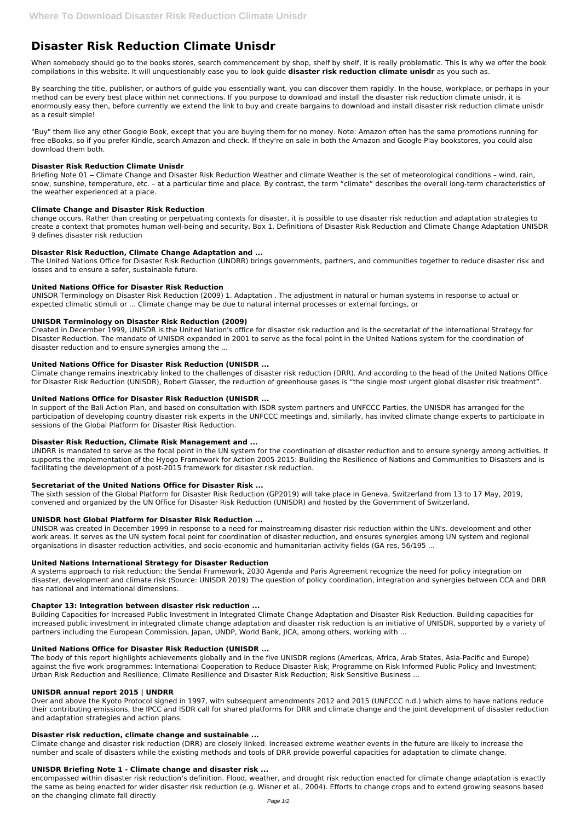# **Disaster Risk Reduction Climate Unisdr**

When somebody should go to the books stores, search commencement by shop, shelf by shelf, it is really problematic. This is why we offer the book compilations in this website. It will unquestionably ease you to look guide **disaster risk reduction climate unisdr** as you such as.

By searching the title, publisher, or authors of guide you essentially want, you can discover them rapidly. In the house, workplace, or perhaps in your method can be every best place within net connections. If you purpose to download and install the disaster risk reduction climate unisdr, it is enormously easy then, before currently we extend the link to buy and create bargains to download and install disaster risk reduction climate unisdr as a result simple!

Briefing Note 01 – Climate Change and Disaster Risk Reduction Weather and climate Weather is the set of meteorological conditions - wind, rain, snow, sunshine, temperature, etc. – at a particular time and place. By contrast, the term "climate" describes the overall long-term characteristics of the weather experienced at a place.

"Buy" them like any other Google Book, except that you are buying them for no money. Note: Amazon often has the same promotions running for free eBooks, so if you prefer Kindle, search Amazon and check. If they're on sale in both the Amazon and Google Play bookstores, you could also download them both.

#### **Disaster Risk Reduction Climate Unisdr**

## **Climate Change and Disaster Risk Reduction**

change occurs. Rather than creating or perpetuating contexts for disaster, it is possible to use disaster risk reduction and adaptation strategies to create a context that promotes human well-being and security. Box 1. Definitions of Disaster Risk Reduction and Climate Change Adaptation UNISDR 9 defines disaster risk reduction

## **Disaster Risk Reduction, Climate Change Adaptation and ...**

The United Nations Office for Disaster Risk Reduction (UNDRR) brings governments, partners, and communities together to reduce disaster risk and losses and to ensure a safer, sustainable future.

## **United Nations Office for Disaster Risk Reduction**

UNISDR Terminology on Disaster Risk Reduction (2009) 1. Adaptation . The adjustment in natural or human systems in response to actual or expected climatic stimuli or ... Climate change may be due to natural internal processes or external forcings, or

#### **UNISDR Terminology on Disaster Risk Reduction (2009)**

Created in December 1999, UNISDR is the United Nation's office for disaster risk reduction and is the secretariat of the International Strategy for Disaster Reduction. The mandate of UNISDR expanded in 2001 to serve as the focal point in the United Nations system for the coordination of disaster reduction and to ensure synergies among the ...

increased public investment in integrated climate change adaptation and disaster risk reduction is an initiative of UNISDR, supported by a variety of partners including the European Commission, Japan, UNDP, World Bank, JICA, among others, working with ...

## **United Nations Office for Disaster Risk Reduction (UNISDR ...**

Climate change remains inextricably linked to the challenges of disaster risk reduction (DRR). And according to the head of the United Nations Office for Disaster Risk Reduction (UNISDR), Robert Glasser, the reduction of greenhouse gases is "the single most urgent global disaster risk treatment".

## **United Nations Office for Disaster Risk Reduction (UNISDR ...**

In support of the Bali Action Plan, and based on consultation with ISDR system partners and UNFCCC Parties, the UNISDR has arranged for the participation of developing country disaster risk experts in the UNFCCC meetings and, similarly, has invited climate change experts to participate in sessions of the Global Platform for Disaster Risk Reduction.

#### **Disaster Risk Reduction, Climate Risk Management and ...**

UNDRR is mandated to serve as the focal point in the UN system for the coordination of disaster reduction and to ensure synergy among activities. It supports the implementation of the Hyogo Framework for Action 2005-2015: Building the Resilience of Nations and Communities to Disasters and is facilitating the development of a post-2015 framework for disaster risk reduction.

#### **Secretariat of the United Nations Office for Disaster Risk ...**

The sixth session of the Global Platform for Disaster Risk Reduction (GP2019) will take place in Geneva, Switzerland from 13 to 17 May, 2019, convened and organized by the UN Office for Disaster Risk Reduction (UNISDR) and hosted by the Government of Switzerland.

#### **UNISDR host Global Platform for Disaster Risk Reduction ...**

UNISDR was created in December 1999 in response to a need for mainstreaming disaster risk reduction within the UN's. development and other work areas. It serves as the UN system focal point for coordination of disaster reduction, and ensures synergies among UN system and regional organisations in disaster reduction activities, and socio-economic and humanitarian activity fields (GA res, 56/195 ...

#### **United Nations International Strategy for Disaster Reduction**

A systems approach to risk reduction: the Sendai Framework, 2030 Agenda and Paris Agreement recognize the need for policy integration on disaster, development and climate risk (Source: UNISDR 2019) The question of policy coordination, integration and synergies between CCA and DRR has national and international dimensions.

#### **Chapter 13: Integration between disaster risk reduction ...**

Building Capacities for Increased Public Investment in Integrated Climate Change Adaptation and Disaster Risk Reduction. Building capacities for

#### **United Nations Office for Disaster Risk Reduction (UNISDR ...**

The body of this report highlights achievements globally and in the five UNISDR regions (Americas, Africa, Arab States, Asia-Pacific and Europe) against the five work programmes: International Cooperation to Reduce Disaster Risk; Programme on Risk Informed Public Policy and Investment; Urban Risk Reduction and Resilience; Climate Resilience and Disaster Risk Reduction; Risk Sensitive Business ...

#### **UNISDR annual report 2015 | UNDRR**

Over and above the Kyoto Protocol signed in 1997, with subsequent amendments 2012 and 2015 (UNFCCC n.d.) which aims to have nations reduce their contributing emissions, the IPCC and ISDR call for shared platforms for DRR and climate change and the joint development of disaster reduction and adaptation strategies and action plans.

#### **Disaster risk reduction, climate change and sustainable ...**

Climate change and disaster risk reduction (DRR) are closely linked. Increased extreme weather events in the future are likely to increase the number and scale of disasters while the existing methods and tools of DRR provide powerful capacities for adaptation to climate change.

#### **UNISDR Briefing Note 1 - Climate change and disaster risk ...**

encompassed within disaster risk reduction's definition. Flood, weather, and drought risk reduction enacted for climate change adaptation is exactly the same as being enacted for wider disaster risk reduction (e.g. Wisner et al., 2004). Efforts to change crops and to extend growing seasons based on the changing climate fall directly